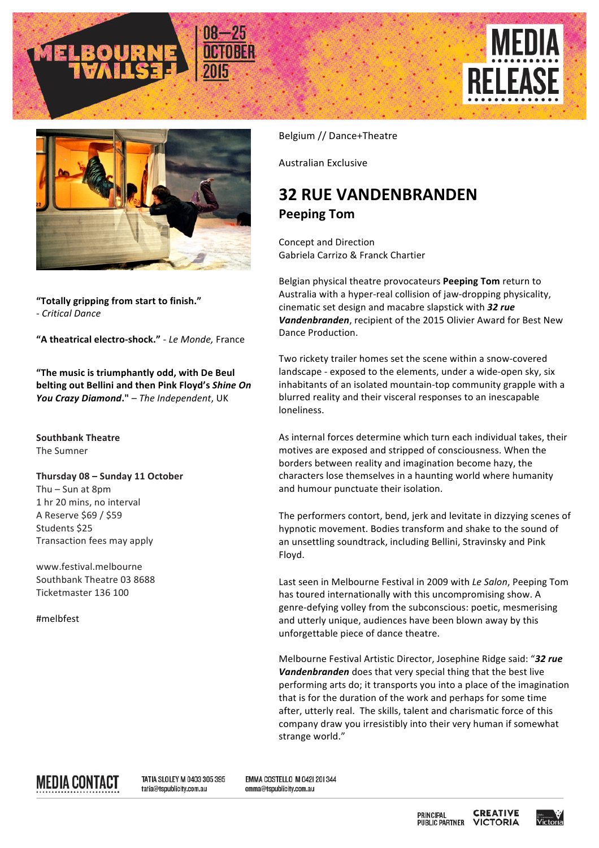





**"Totally gripping from start to finish."** - *Critical Dance*

**"A theatrical electro-shock."** - *Le Monde,* France

"The music is triumphantly odd, with De Beul **belting out Bellini and then Pink Floyd's Shine On** You Crazy Diamond." - The Independent, UK

**Southbank Theatre** The Sumner

## **Thursday 08 – Sunday 11 October**

Thu – Sun at  $8$ pm 1 hr 20 mins, no interval A Reserve \$69 / \$59 Students \$25 Transaction fees may apply

www.festival.melbourne Southbank Theatre 03 8688 Ticketmaster 136 100

#melbfest

Belgium // Dance+Theatre

Australian Exclusive 

## **32 RUE VANDENBRANDEN Peeping Tom**

Concept and Direction Gabriela Carrizo & Franck Chartier

Belgian physical theatre provocateurs **Peeping Tom** return to Australia with a hyper-real collision of jaw-dropping physicality, cinematic set design and macabre slapstick with 32 rue Vandenbranden, recipient of the 2015 Olivier Award for Best New Dance Production. 

Two rickety trailer homes set the scene within a snow-covered landscape - exposed to the elements, under a wide-open sky, six inhabitants of an isolated mountain-top community grapple with a blurred reality and their visceral responses to an inescapable loneliness.

As internal forces determine which turn each individual takes, their motives are exposed and stripped of consciousness. When the borders between reality and imagination become hazy, the characters lose themselves in a haunting world where humanity and humour punctuate their isolation.

The performers contort, bend, jerk and levitate in dizzying scenes of hypnotic movement. Bodies transform and shake to the sound of an unsettling soundtrack, including Bellini, Stravinsky and Pink Floyd. 

Last seen in Melbourne Festival in 2009 with *Le Salon*, Peeping Tom has toured internationally with this uncompromising show. A genre-defying volley from the subconscious: poetic, mesmerising and utterly unique, audiences have been blown away by this unforgettable piece of dance theatre.

Melbourne Festival Artistic Director, Josephine Ridge said: "32 rue **Vandenbranden** does that very special thing that the best live performing arts do; it transports you into a place of the imagination that is for the duration of the work and perhaps for some time after, utterly real. The skills, talent and charismatic force of this company draw you irresistibly into their very human if somewhat strange world."



TATIA SLOLEY M 0403 305 395 tatia@tspublicity.com.au

EMMA COSTELLO M 042| 20| 344 emma@tspublicity.com.au